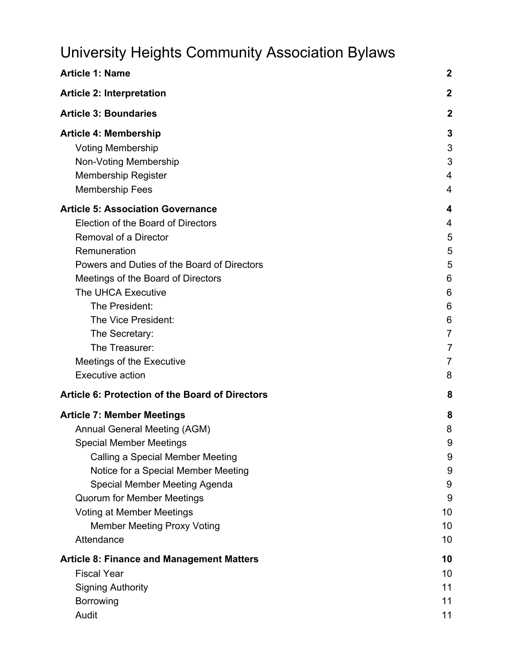# University Heights Community Association Bylaws

| <b>Article 1: Name</b>                                                                                                                                                                                                                                                                                                                                                  | $\boldsymbol{2}$                                                           |
|-------------------------------------------------------------------------------------------------------------------------------------------------------------------------------------------------------------------------------------------------------------------------------------------------------------------------------------------------------------------------|----------------------------------------------------------------------------|
| <b>Article 2: Interpretation</b>                                                                                                                                                                                                                                                                                                                                        | $\mathbf 2$                                                                |
| <b>Article 3: Boundaries</b>                                                                                                                                                                                                                                                                                                                                            | $\boldsymbol{2}$                                                           |
| <b>Article 4: Membership</b><br><b>Voting Membership</b><br>Non-Voting Membership<br><b>Membership Register</b>                                                                                                                                                                                                                                                         | 3<br>3<br>3<br>4<br>4                                                      |
| <b>Membership Fees</b>                                                                                                                                                                                                                                                                                                                                                  |                                                                            |
| <b>Article 5: Association Governance</b><br>Election of the Board of Directors<br>Removal of a Director<br>Remuneration<br>Powers and Duties of the Board of Directors<br>Meetings of the Board of Directors<br>The UHCA Executive<br>The President:<br>The Vice President:<br>The Secretary:<br>The Treasurer:<br>Meetings of the Executive<br><b>Executive action</b> | 4<br>4<br>5<br>5<br>5<br>6<br>6<br>6<br>6<br>$\overline{7}$<br>7<br>7<br>8 |
| <b>Article 6: Protection of the Board of Directors</b>                                                                                                                                                                                                                                                                                                                  | 8                                                                          |
| <b>Article 7: Member Meetings</b><br>Annual General Meeting (AGM)<br><b>Special Member Meetings</b><br>Calling a Special Member Meeting<br>Notice for a Special Member Meeting<br>Special Member Meeting Agenda<br><b>Quorum for Member Meetings</b><br><b>Voting at Member Meetings</b><br><b>Member Meeting Proxy Voting</b><br>Attendance                            | 8<br>8<br>9<br>9<br>$9\,$<br>9<br>9<br>10<br>10<br>10                      |
| <b>Article 8: Finance and Management Matters</b>                                                                                                                                                                                                                                                                                                                        | 10                                                                         |
| <b>Fiscal Year</b><br><b>Signing Authority</b><br>Borrowing<br>Audit                                                                                                                                                                                                                                                                                                    | 10<br>11<br>11<br>11                                                       |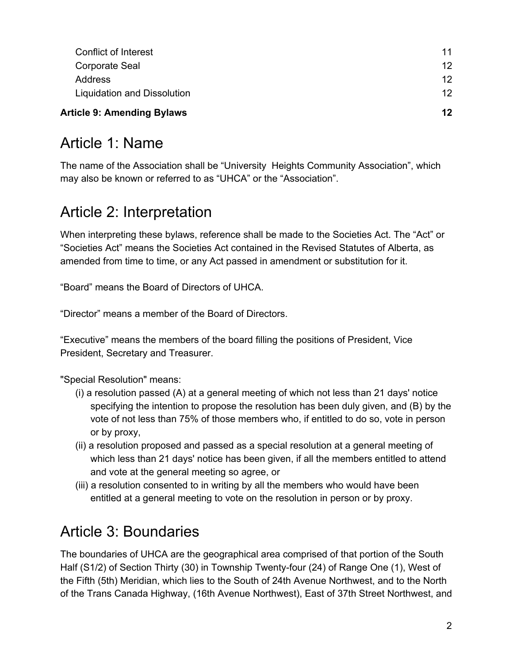| <b>Article 9: Amending Bylaws</b> | $12 \,$ |
|-----------------------------------|---------|
| Liquidation and Dissolution       | 12      |
| <b>Address</b>                    | 12      |
| Corporate Seal                    | 12      |
| <b>Conflict of Interest</b>       | 11      |

# <span id="page-1-0"></span>Article 1: Name

The name of the Association shall be "University Heights Community Association", which may also be known or referred to as "UHCA" or the "Association".

# <span id="page-1-1"></span>Article 2: Interpretation

When interpreting these bylaws, reference shall be made to the Societies Act. The "Act" or "Societies Act" means the Societies Act contained in the Revised Statutes of Alberta, as amended from time to time, or any Act passed in amendment or substitution for it.

"Board" means the Board of Directors of UHCA.

"Director" means a member of the Board of Directors.

"Executive" means the members of the board filling the positions of President, Vice President, Secretary and Treasurer.

"Special Resolution" means:

- (i) a resolution passed (A) at a general meeting of which not less than 21 days' notice specifying the intention to propose the resolution has been duly given, and (B) by the vote of not less than 75% of those members who, if entitled to do so, vote in person or by proxy,
- (ii) a resolution proposed and passed as a special resolution at a general meeting of which less than 21 days' notice has been given, if all the members entitled to attend and vote at the general meeting so agree, or
- (iii) a resolution consented to in writing by all the members who would have been entitled at a general meeting to vote on the resolution in person or by proxy.

# <span id="page-1-2"></span>Article 3: Boundaries

The boundaries of UHCA are the geographical area comprised of that portion of the South Half (S1/2) of Section Thirty (30) in Township Twenty-four (24) of Range One (1), West of the Fifth (5th) Meridian, which lies to the South of 24th Avenue Northwest, and to the North of the Trans Canada Highway, (16th Avenue Northwest), East of 37th Street Northwest, and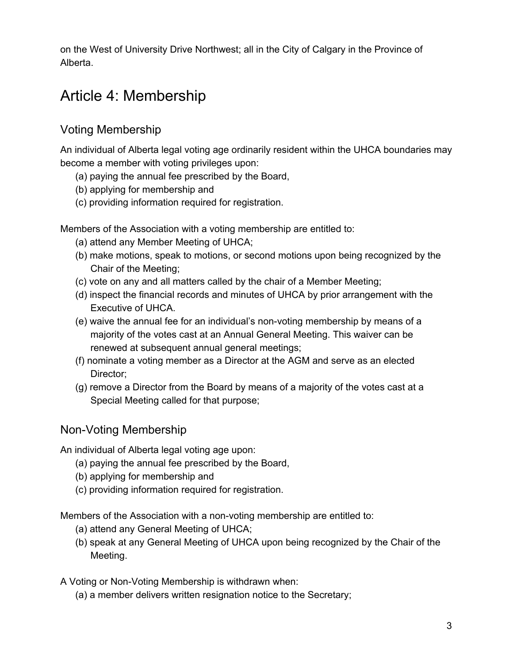on the West of University Drive Northwest; all in the City of Calgary in the Province of Alberta.

# <span id="page-2-0"></span>Article 4: Membership

## <span id="page-2-1"></span>Voting Membership

An individual of Alberta legal voting age ordinarily resident within the UHCA boundaries may become a member with voting privileges upon:

- (a) paying the annual fee prescribed by the Board,
- (b) applying for membership and
- (c) providing information required for registration.

Members of the Association with a voting membership are entitled to:

- (a) attend any Member Meeting of UHCA;
- (b) make motions, speak to motions, or second motions upon being recognized by the Chair of the Meeting;
- (c) vote on any and all matters called by the chair of a Member Meeting;
- (d) inspect the financial records and minutes of UHCA by prior arrangement with the Executive of UHCA.
- (e) waive the annual fee for an individual's non-voting membership by means of a majority of the votes cast at an Annual General Meeting. This waiver can be renewed at subsequent annual general meetings;
- (f) nominate a voting member as a Director at the AGM and serve as an elected Director;
- (g) remove a Director from the Board by means of a majority of the votes cast at a Special Meeting called for that purpose;

## <span id="page-2-2"></span>Non-Voting Membership

An individual of Alberta legal voting age upon:

- (a) paying the annual fee prescribed by the Board,
- (b) applying for membership and
- (c) providing information required for registration.

Members of the Association with a non-voting membership are entitled to:

- (a) attend any General Meeting of UHCA;
- (b) speak at any General Meeting of UHCA upon being recognized by the Chair of the Meeting.

A Voting or Non-Voting Membership is withdrawn when:

(a) a member delivers written resignation notice to the Secretary;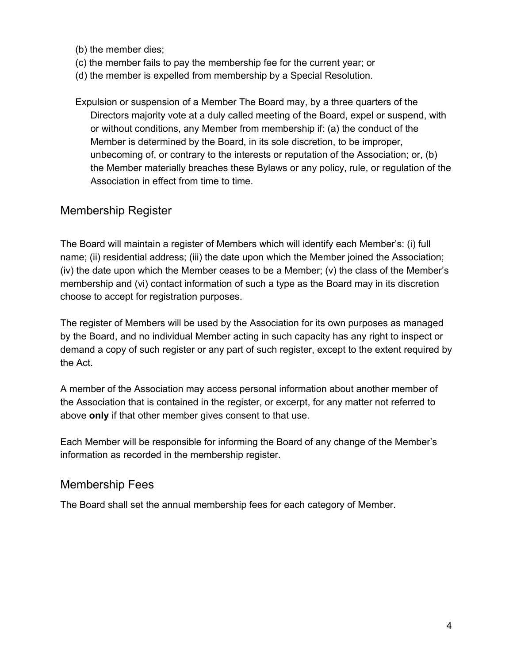(b) the member dies;

- (c) the member fails to pay the membership fee for the current year; or
- (d) the member is expelled from membership by a Special Resolution.
- Expulsion or suspension of a Member The Board may, by a three quarters of the Directors majority vote at a duly called meeting of the Board, expel or suspend, with or without conditions, any Member from membership if: (a) the conduct of the Member is determined by the Board, in its sole discretion, to be improper, unbecoming of, or contrary to the interests or reputation of the Association; or, (b) the Member materially breaches these Bylaws or any policy, rule, or regulation of the Association in effect from time to time.

### <span id="page-3-0"></span>Membership Register

The Board will maintain a register of Members which will identify each Member's: (i) full name; (ii) residential address; (iii) the date upon which the Member joined the Association; (iv) the date upon which the Member ceases to be a Member; (v) the class of the Member's membership and (vi) contact information of such a type as the Board may in its discretion choose to accept for registration purposes.

The register of Members will be used by the Association for its own purposes as managed by the Board, and no individual Member acting in such capacity has any right to inspect or demand a copy of such register or any part of such register, except to the extent required by the Act.

A member of the Association may access personal information about another member of the Association that is contained in the register, or excerpt, for any matter not referred to above **only** if that other member gives consent to that use.

Each Member will be responsible for informing the Board of any change of the Member's information as recorded in the membership register.

### <span id="page-3-1"></span>Membership Fees

The Board shall set the annual membership fees for each category of Member.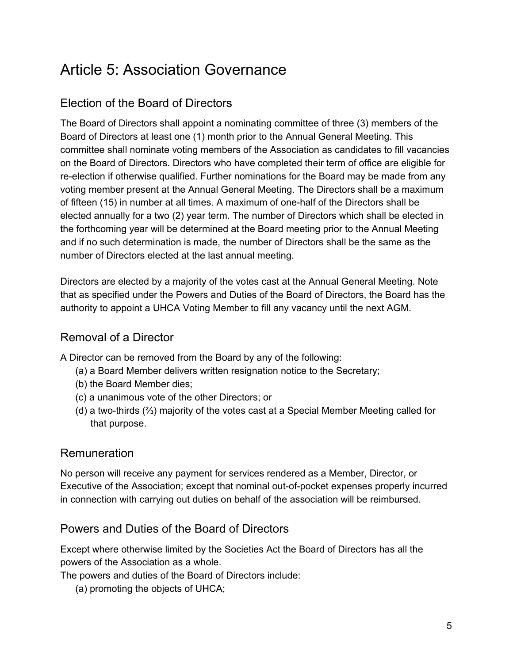# <span id="page-4-0"></span>Article 5: Association Governance

## <span id="page-4-1"></span>Election of the Board of Directors

The Board of Directors shall appoint a nominating committee of three (3) members of the Board of Directors at least one (1) month prior to the Annual General Meeting. This committee shall nominate voting members of the Association as candidates to fill vacancies on the Board of Directors. Directors who have completed their term of office are eligible for re-election if otherwise qualified. Further nominations for the Board may be made from any voting member present at the Annual General Meeting. The Directors shall be a maximum of fifteen (15) in number at all times. A maximum of one-half of the Directors shall be elected annually for a two (2) year term. The number of Directors which shall be elected in the forthcoming year will be determined at the Board meeting prior to the Annual Meeting and if no such determination is made, the number of Directors shall be the same as the number of Directors elected at the last annual meeting.

Directors are elected by a majority of the votes cast at the Annual General Meeting. Note that as specified under the Powers and Duties of the Board of Directors, the Board has the authority to appoint a UHCA Voting Member to fill any vacancy until the next AGM.

### <span id="page-4-2"></span>Removal of a Director

A Director can be removed from the Board by any of the following:

- (a) a Board Member delivers written resignation notice to the Secretary;
- (b) the Board Member dies;
- (c) a unanimous vote of the other Directors; or
- (d) a two-thirds (⅔) majority of the votes cast at a Special Member Meeting called for that purpose.

### <span id="page-4-3"></span>Remuneration

No person will receive any payment for services rendered as a Member, Director, or Executive of the Association; except that nominal out-of-pocket expenses properly incurred in connection with carrying out duties on behalf of the association will be reimbursed.

### <span id="page-4-4"></span>Powers and Duties of the Board of Directors

Except where otherwise limited by the Societies Act the Board of Directors has all the powers of the Association as a whole.

The powers and duties of the Board of Directors include:

(a) promoting the objects of UHCA;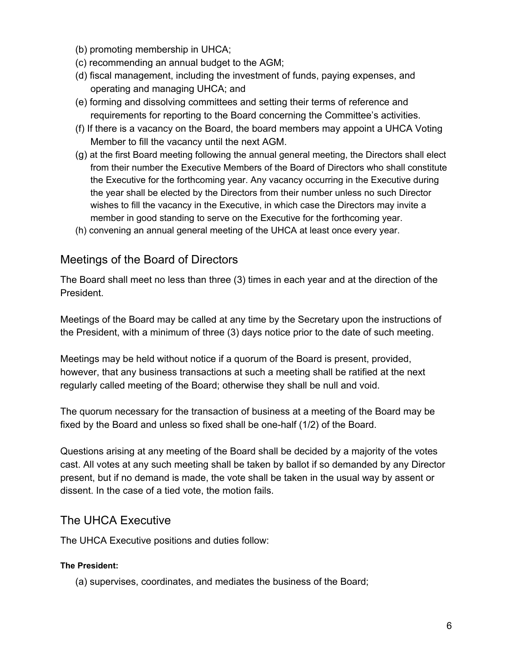- (b) promoting membership in UHCA;
- (c) recommending an annual budget to the AGM;
- (d) fiscal management, including the investment of funds, paying expenses, and operating and managing UHCA; and
- (e) forming and dissolving committees and setting their terms of reference and requirements for reporting to the Board concerning the Committee's activities.
- (f) If there is a vacancy on the Board, the board members may appoint a UHCA Voting Member to fill the vacancy until the next AGM.
- (g) at the first Board meeting following the annual general meeting, the Directors shall elect from their number the Executive Members of the Board of Directors who shall constitute the Executive for the forthcoming year. Any vacancy occurring in the Executive during the year shall be elected by the Directors from their number unless no such Director wishes to fill the vacancy in the Executive, in which case the Directors may invite a member in good standing to serve on the Executive for the forthcoming year.
- (h) convening an annual general meeting of the UHCA at least once every year.

### <span id="page-5-0"></span>Meetings of the Board of Directors

The Board shall meet no less than three (3) times in each year and at the direction of the President.

Meetings of the Board may be called at any time by the Secretary upon the instructions of the President, with a minimum of three (3) days notice prior to the date of such meeting.

Meetings may be held without notice if a quorum of the Board is present, provided, however, that any business transactions at such a meeting shall be ratified at the next regularly called meeting of the Board; otherwise they shall be null and void.

The quorum necessary for the transaction of business at a meeting of the Board may be fixed by the Board and unless so fixed shall be one-half (1/2) of the Board.

Questions arising at any meeting of the Board shall be decided by a majority of the votes cast. All votes at any such meeting shall be taken by ballot if so demanded by any Director present, but if no demand is made, the vote shall be taken in the usual way by assent or dissent. In the case of a tied vote, the motion fails.

### <span id="page-5-1"></span>The UHCA Executive

<span id="page-5-2"></span>The UHCA Executive positions and duties follow:

#### **The President:**

(a) supervises, coordinates, and mediates the business of the Board;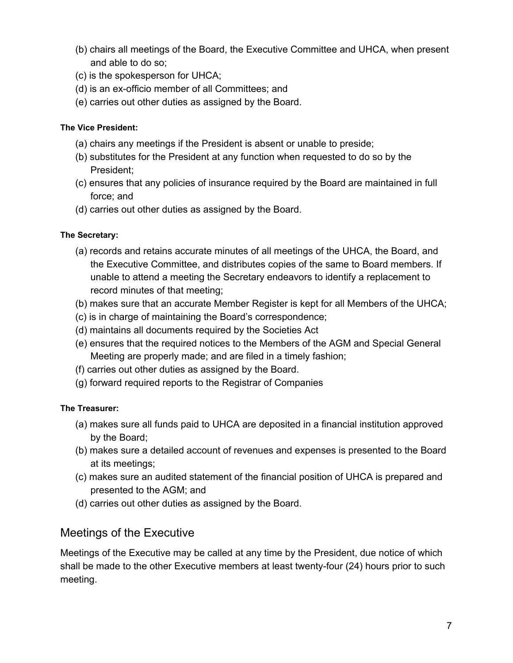- (b) chairs all meetings of the Board, the Executive Committee and UHCA, when present and able to do so;
- (c) is the spokesperson for UHCA;
- (d) is an ex-officio member of all Committees; and
- (e) carries out other duties as assigned by the Board.

#### <span id="page-6-0"></span>**The Vice President:**

- (a) chairs any meetings if the President is absent or unable to preside;
- (b) substitutes for the President at any function when requested to do so by the President;
- (c) ensures that any policies of insurance required by the Board are maintained in full force; and
- (d) carries out other duties as assigned by the Board.

#### <span id="page-6-1"></span>**The Secretary:**

- (a) records and retains accurate minutes of all meetings of the UHCA, the Board, and the Executive Committee, and distributes copies of the same to Board members. If unable to attend a meeting the Secretary endeavors to identify a replacement to record minutes of that meeting;
- (b) makes sure that an accurate Member Register is kept for all Members of the UHCA;
- (c) is in charge of maintaining the Board's correspondence;
- (d) maintains all documents required by the Societies Act
- (e) ensures that the required notices to the Members of the AGM and Special General Meeting are properly made; and are filed in a timely fashion;
- (f) carries out other duties as assigned by the Board.
- (g) forward required reports to the Registrar of Companies

#### <span id="page-6-2"></span>**The Treasurer:**

- (a) makes sure all funds paid to UHCA are deposited in a financial institution approved by the Board;
- (b) makes sure a detailed account of revenues and expenses is presented to the Board at its meetings;
- (c) makes sure an audited statement of the financial position of UHCA is prepared and presented to the AGM; and
- (d) carries out other duties as assigned by the Board.

### <span id="page-6-3"></span>Meetings of the Executive

Meetings of the Executive may be called at any time by the President, due notice of which shall be made to the other Executive members at least twenty-four (24) hours prior to such meeting.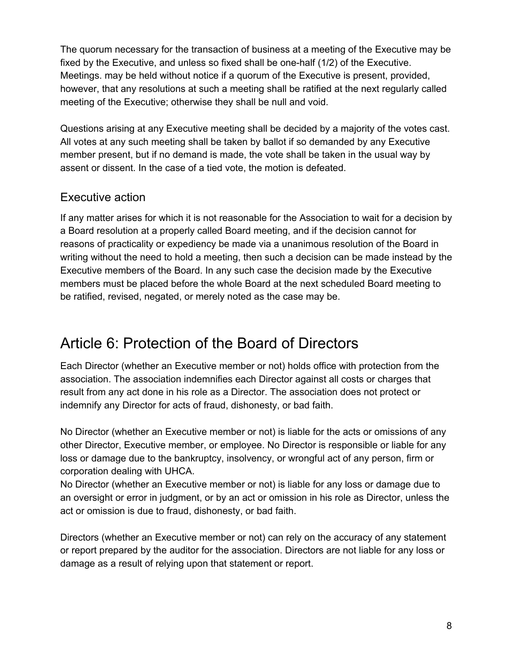The quorum necessary for the transaction of business at a meeting of the Executive may be fixed by the Executive, and unless so fixed shall be one-half (1/2) of the Executive. Meetings. may be held without notice if a quorum of the Executive is present, provided, however, that any resolutions at such a meeting shall be ratified at the next regularly called meeting of the Executive; otherwise they shall be null and void.

Questions arising at any Executive meeting shall be decided by a majority of the votes cast. All votes at any such meeting shall be taken by ballot if so demanded by any Executive member present, but if no demand is made, the vote shall be taken in the usual way by assent or dissent. In the case of a tied vote, the motion is defeated.

## <span id="page-7-0"></span>Executive action

If any matter arises for which it is not reasonable for the Association to wait for a decision by a Board resolution at a properly called Board meeting, and if the decision cannot for reasons of practicality or expediency be made via a unanimous resolution of the Board in writing without the need to hold a meeting, then such a decision can be made instead by the Executive members of the Board. In any such case the decision made by the Executive members must be placed before the whole Board at the next scheduled Board meeting to be ratified, revised, negated, or merely noted as the case may be.

# <span id="page-7-1"></span>Article 6: Protection of the Board of Directors

Each Director (whether an Executive member or not) holds office with protection from the association. The association indemnifies each Director against all costs or charges that result from any act done in his role as a Director. The association does not protect or indemnify any Director for acts of fraud, dishonesty, or bad faith.

No Director (whether an Executive member or not) is liable for the acts or omissions of any other Director, Executive member, or employee. No Director is responsible or liable for any loss or damage due to the bankruptcy, insolvency, or wrongful act of any person, firm or corporation dealing with UHCA.

No Director (whether an Executive member or not) is liable for any loss or damage due to an oversight or error in judgment, or by an act or omission in his role as Director, unless the act or omission is due to fraud, dishonesty, or bad faith.

Directors (whether an Executive member or not) can rely on the accuracy of any statement or report prepared by the auditor for the association. Directors are not liable for any loss or damage as a result of relying upon that statement or report.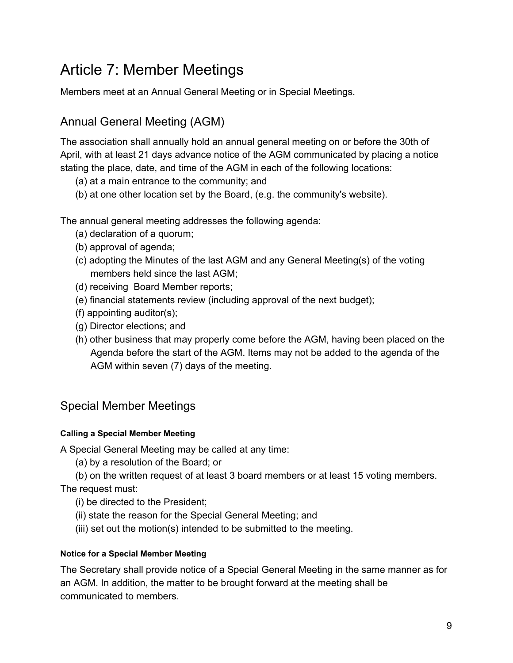# <span id="page-8-0"></span>Article 7: Member Meetings

<span id="page-8-1"></span>Members meet at an Annual General Meeting or in Special Meetings.

## Annual General Meeting (AGM)

The association shall annually hold an annual general meeting on or before the 30th of April, with at least 21 days advance notice of the AGM communicated by placing a notice stating the place, date, and time of the AGM in each of the following locations:

- (a) at a main entrance to the community; and
- (b) at one other location set by the Board, (e.g. the community's website).

The annual general meeting addresses the following agenda:

- (a) declaration of a quorum;
- (b) approval of agenda;
- (c) adopting the Minutes of the last AGM and any General Meeting(s) of the voting members held since the last AGM;
- (d) receiving Board Member reports;
- (e) financial statements review (including approval of the next budget);
- (f) appointing auditor(s);
- (g) Director elections; and
- (h) other business that may properly come before the AGM, having been placed on the Agenda before the start of the AGM. Items may not be added to the agenda of the AGM within seven (7) days of the meeting.

## <span id="page-8-2"></span>Special Member Meetings

#### <span id="page-8-3"></span>**Calling a Special Member Meeting**

A Special General Meeting may be called at any time:

(a) by a resolution of the Board; or

(b) on the written request of at least 3 board members or at least 15 voting members. The request must:

- (i) be directed to the President;
- (ii) state the reason for the Special General Meeting; and
- (iii) set out the motion(s) intended to be submitted to the meeting.

#### <span id="page-8-4"></span>**Notice for a Special Member Meeting**

The Secretary shall provide notice of a Special General Meeting in the same manner as for an AGM. In addition, the matter to be brought forward at the meeting shall be communicated to members.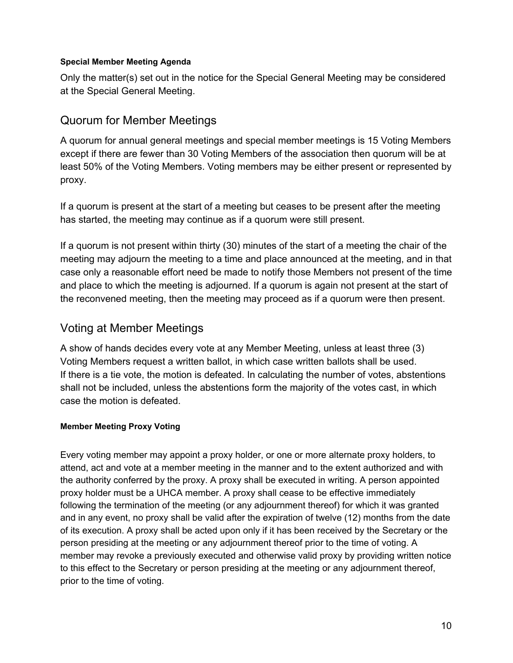#### <span id="page-9-0"></span>**Special Member Meeting Agenda**

Only the matter(s) set out in the notice for the Special General Meeting may be considered at the Special General Meeting.

### <span id="page-9-1"></span>Quorum for Member Meetings

A quorum for annual general meetings and special member meetings is 15 Voting Members except if there are fewer than 30 Voting Members of the association then quorum will be at least 50% of the Voting Members. Voting members may be either present or represented by proxy.

If a quorum is present at the start of a meeting but ceases to be present after the meeting has started, the meeting may continue as if a quorum were still present.

If a quorum is not present within thirty (30) minutes of the start of a meeting the chair of the meeting may adjourn the meeting to a time and place announced at the meeting, and in that case only a reasonable effort need be made to notify those Members not present of the time and place to which the meeting is adjourned. If a quorum is again not present at the start of the reconvened meeting, then the meeting may proceed as if a quorum were then present.

### <span id="page-9-2"></span>Voting at Member Meetings

A show of hands decides every vote at any Member Meeting, unless at least three (3) Voting Members request a written ballot, in which case written ballots shall be used. If there is a tie vote, the motion is defeated. In calculating the number of votes, abstentions shall not be included, unless the abstentions form the majority of the votes cast, in which case the motion is defeated.

#### <span id="page-9-3"></span>**Member Meeting Proxy Voting**

Every voting member may appoint a proxy holder, or one or more alternate proxy holders, to attend, act and vote at a member meeting in the manner and to the extent authorized and with the authority conferred by the proxy. A proxy shall be executed in writing. A person appointed proxy holder must be a UHCA member. A proxy shall cease to be effective immediately following the termination of the meeting (or any adjournment thereof) for which it was granted and in any event, no proxy shall be valid after the expiration of twelve (12) months from the date of its execution. A proxy shall be acted upon only if it has been received by the Secretary or the person presiding at the meeting or any adjournment thereof prior to the time of voting. A member may revoke a previously executed and otherwise valid proxy by providing written notice to this effect to the Secretary or person presiding at the meeting or any adjournment thereof, prior to the time of voting.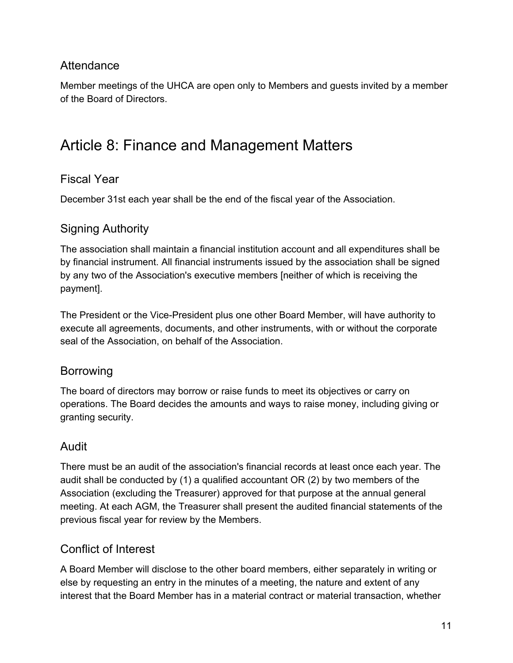## <span id="page-10-0"></span>**Attendance**

Member meetings of the UHCA are open only to Members and guests invited by a member of the Board of Directors.

# <span id="page-10-1"></span>Article 8: Finance and Management Matters

### <span id="page-10-2"></span>Fiscal Year

<span id="page-10-3"></span>December 31st each year shall be the end of the fiscal year of the Association.

### Signing Authority

The association shall maintain a financial institution account and all expenditures shall be by financial instrument. All financial instruments issued by the association shall be signed by any two of the Association's executive members [neither of which is receiving the payment].

The President or the Vice-President plus one other Board Member, will have authority to execute all agreements, documents, and other instruments, with or without the corporate seal of the Association, on behalf of the Association.

### <span id="page-10-4"></span>Borrowing

The board of directors may borrow or raise funds to meet its objectives or carry on operations. The Board decides the amounts and ways to raise money, including giving or granting security.

### <span id="page-10-5"></span>Audit

There must be an audit of the association's financial records at least once each year. The audit shall be conducted by (1) a qualified accountant OR (2) by two members of the Association (excluding the Treasurer) approved for that purpose at the annual general meeting. At each AGM, the Treasurer shall present the audited financial statements of the previous fiscal year for review by the Members.

### <span id="page-10-6"></span>Conflict of Interest

A Board Member will disclose to the other board members, either separately in writing or else by requesting an entry in the minutes of a meeting, the nature and extent of any interest that the Board Member has in a material contract or material transaction, whether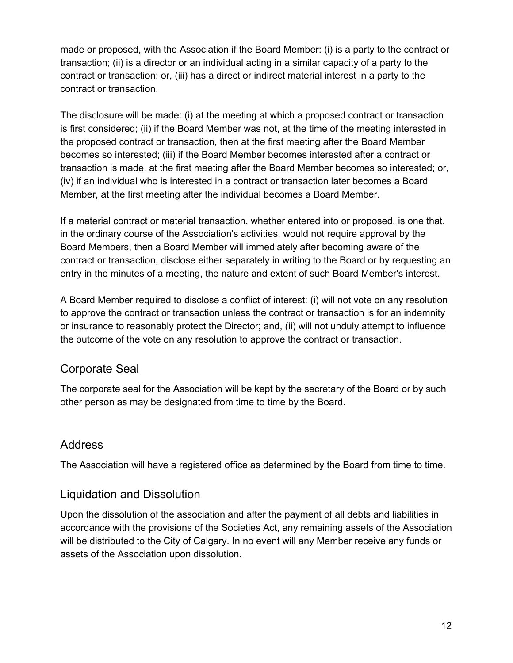made or proposed, with the Association if the Board Member: (i) is a party to the contract or transaction; (ii) is a director or an individual acting in a similar capacity of a party to the contract or transaction; or, (iii) has a direct or indirect material interest in a party to the contract or transaction.

The disclosure will be made: (i) at the meeting at which a proposed contract or transaction is first considered; (ii) if the Board Member was not, at the time of the meeting interested in the proposed contract or transaction, then at the first meeting after the Board Member becomes so interested; (iii) if the Board Member becomes interested after a contract or transaction is made, at the first meeting after the Board Member becomes so interested; or, (iv) if an individual who is interested in a contract or transaction later becomes a Board Member, at the first meeting after the individual becomes a Board Member.

If a material contract or material transaction, whether entered into or proposed, is one that, in the ordinary course of the Association's activities, would not require approval by the Board Members, then a Board Member will immediately after becoming aware of the contract or transaction, disclose either separately in writing to the Board or by requesting an entry in the minutes of a meeting, the nature and extent of such Board Member's interest.

A Board Member required to disclose a conflict of interest: (i) will not vote on any resolution to approve the contract or transaction unless the contract or transaction is for an indemnity or insurance to reasonably protect the Director; and, (ii) will not unduly attempt to influence the outcome of the vote on any resolution to approve the contract or transaction.

## <span id="page-11-0"></span>Corporate Seal

The corporate seal for the Association will be kept by the secretary of the Board or by such other person as may be designated from time to time by the Board.

### <span id="page-11-1"></span>Address

<span id="page-11-2"></span>The Association will have a registered office as determined by the Board from time to time.

### Liquidation and Dissolution

Upon the dissolution of the association and after the payment of all debts and liabilities in accordance with the provisions of the Societies Act, any remaining assets of the Association will be distributed to the City of Calgary. In no event will any Member receive any funds or assets of the Association upon dissolution.